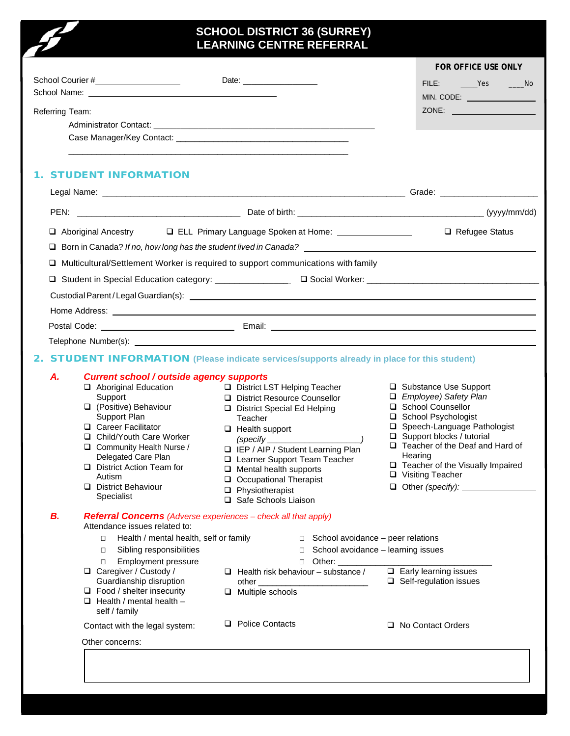## **SCHOOL DISTRICT 36 (SURREY) LEARNING CENTRE REFERRAL**

 $\boldsymbol{z}$ 

|                                                                                                                                                                                                                                     |                                                                                                                                                                                                                                          | FOR OFFICE USE ONLY                                           |
|-------------------------------------------------------------------------------------------------------------------------------------------------------------------------------------------------------------------------------------|------------------------------------------------------------------------------------------------------------------------------------------------------------------------------------------------------------------------------------------|---------------------------------------------------------------|
| School Courier #____________________                                                                                                                                                                                                | Date: <u>contract and the set of the set of the set of the set of the set of the set of the set of the set of the set of the set of the set of the set of the set of the set of the set of the set of the set of the set of the </u>     | FILE: <u>Yes</u> Mo                                           |
|                                                                                                                                                                                                                                     |                                                                                                                                                                                                                                          | MIN. CODE: _________________                                  |
| Referring Team:                                                                                                                                                                                                                     |                                                                                                                                                                                                                                          | ZONE:                                                         |
|                                                                                                                                                                                                                                     |                                                                                                                                                                                                                                          |                                                               |
|                                                                                                                                                                                                                                     |                                                                                                                                                                                                                                          |                                                               |
|                                                                                                                                                                                                                                     |                                                                                                                                                                                                                                          |                                                               |
| <b>STUDENT INFORMATION</b>                                                                                                                                                                                                          |                                                                                                                                                                                                                                          |                                                               |
|                                                                                                                                                                                                                                     |                                                                                                                                                                                                                                          |                                                               |
|                                                                                                                                                                                                                                     |                                                                                                                                                                                                                                          |                                                               |
| Aboriginal Ancestry                                                                                                                                                                                                                 | □ ELL Primary Language Spoken at Home: ________________                                                                                                                                                                                  | □ Refugee Status                                              |
| u.                                                                                                                                                                                                                                  |                                                                                                                                                                                                                                          |                                                               |
| □ Multicultural/Settlement Worker is required to support communications with family                                                                                                                                                 |                                                                                                                                                                                                                                          |                                                               |
|                                                                                                                                                                                                                                     |                                                                                                                                                                                                                                          |                                                               |
|                                                                                                                                                                                                                                     |                                                                                                                                                                                                                                          |                                                               |
|                                                                                                                                                                                                                                     |                                                                                                                                                                                                                                          |                                                               |
| Home Address: <u>experience</u> and the contract of the contract of the contract of the contract of the contract of the contract of the contract of the contract of the contract of the contract of the contract of the contract of |                                                                                                                                                                                                                                          |                                                               |
|                                                                                                                                                                                                                                     |                                                                                                                                                                                                                                          |                                                               |
|                                                                                                                                                                                                                                     |                                                                                                                                                                                                                                          |                                                               |
| <b>STUDENT INFORMATION</b> (Please indicate services/supports already in place for this student)<br>2.                                                                                                                              |                                                                                                                                                                                                                                          |                                                               |
| Α.<br><b>Current school / outside agency supports</b>                                                                                                                                                                               |                                                                                                                                                                                                                                          |                                                               |
| Aboriginal Education                                                                                                                                                                                                                | District LST Helping Teacher                                                                                                                                                                                                             | □ Substance Use Support                                       |
| Support                                                                                                                                                                                                                             | District Resource Counsellor                                                                                                                                                                                                             | □ Employee) Safety Plan                                       |
| □ (Positive) Behaviour<br>Support Plan                                                                                                                                                                                              | District Special Ed Helping                                                                                                                                                                                                              | □ School Counsellor<br>School Psychologist                    |
| □ Career Facilitator                                                                                                                                                                                                                | Teacher<br>$\Box$ Health support                                                                                                                                                                                                         | □ Speech-Language Pathologist                                 |
| □ Child/Youth Care Worker                                                                                                                                                                                                           | (specify $\_$                                                                                                                                                                                                                            | $\Box$ Support blocks / tutorial                              |
| Community Health Nurse /                                                                                                                                                                                                            | IEP / AIP / Student Learning Plan                                                                                                                                                                                                        | □ Teacher of the Deaf and Hard of                             |
| Delegated Care Plan                                                                                                                                                                                                                 | Learner Support Team Teacher                                                                                                                                                                                                             | Hearing                                                       |
| District Action Team for<br>Autism                                                                                                                                                                                                  | $\Box$ Mental health supports                                                                                                                                                                                                            | □ Teacher of the Visually Impaired<br>□ Visiting Teacher      |
| District Behaviour                                                                                                                                                                                                                  | Occupational Therapist                                                                                                                                                                                                                   | $\Box$ Other (specify):                                       |
| Specialist                                                                                                                                                                                                                          | $\Box$ Physiotherapist<br>□ Safe Schools Liaison                                                                                                                                                                                         |                                                               |
| В.<br><b>Referral Concerns</b> (Adverse experiences – check all that apply)<br>Attendance issues related to:                                                                                                                        |                                                                                                                                                                                                                                          |                                                               |
| Health / mental health, self or family<br>$\Box$                                                                                                                                                                                    | $\Box$ School avoidance – peer relations                                                                                                                                                                                                 |                                                               |
| Sibling responsibilities<br>$\Box$                                                                                                                                                                                                  | $\Box$ School avoidance - learning issues                                                                                                                                                                                                |                                                               |
| Employment pressure<br>$\Box$                                                                                                                                                                                                       | Other: and the state of the state of the state of the state of the state of the state of the state of the state of the state of the state of the state of the state of the state of the state of the state of the state of the<br>$\Box$ |                                                               |
| □ Caregiver / Custody /<br>Guardianship disruption                                                                                                                                                                                  | $\Box$ Health risk behaviour – substance /<br>other                                                                                                                                                                                      | $\Box$ Early learning issues<br>$\Box$ Self-regulation issues |
| $\Box$ Food / shelter insecurity                                                                                                                                                                                                    | $\Box$ Multiple schools                                                                                                                                                                                                                  |                                                               |
| $\Box$ Health / mental health -<br>self / family                                                                                                                                                                                    |                                                                                                                                                                                                                                          |                                                               |
| Contact with the legal system:                                                                                                                                                                                                      | □ Police Contacts                                                                                                                                                                                                                        | □ No Contact Orders                                           |
| Other concerns:                                                                                                                                                                                                                     |                                                                                                                                                                                                                                          |                                                               |
|                                                                                                                                                                                                                                     |                                                                                                                                                                                                                                          |                                                               |